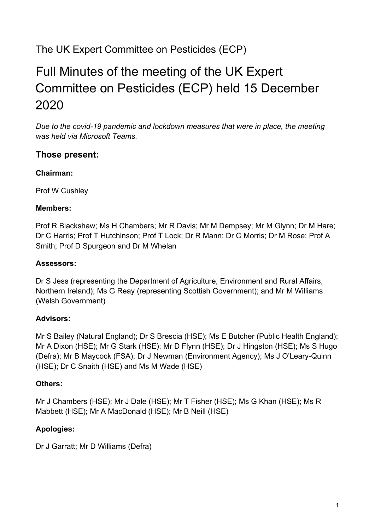## The UK Expert Committee on Pesticides (ECP)

# Full Minutes of the meeting of the UK Expert Committee on Pesticides (ECP) held 15 December 2020

*Due to the covid-19 pandemic and lockdown measures that were in place, the meeting was held via Microsoft Teams.* 

#### **Those present:**

#### **Chairman:**

Prof W Cushley

#### **Members:**

Prof R Blackshaw; Ms H Chambers; Mr R Davis; Mr M Dempsey; Mr M Glynn; Dr M Hare; Dr C Harris; Prof T Hutchinson; Prof T Lock; Dr R Mann; Dr C Morris; Dr M Rose; Prof A Smith; Prof D Spurgeon and Dr M Whelan

#### **Assessors:**

Dr S Jess (representing the Department of Agriculture, Environment and Rural Affairs, Northern Ireland); Ms G Reay (representing Scottish Government); and Mr M Williams (Welsh Government)

#### **Advisors:**

Mr S Bailey (Natural England); Dr S Brescia (HSE); Ms E Butcher (Public Health England); Mr A Dixon (HSE); Mr G Stark (HSE); Mr D Flynn (HSE); Dr J Hingston (HSE); Ms S Hugo (Defra); Mr B Maycock (FSA); Dr J Newman (Environment Agency); Ms J O'Leary-Quinn (HSE); Dr C Snaith (HSE) and Ms M Wade (HSE)

#### **Others:**

Mr J Chambers (HSE); Mr J Dale (HSE); Mr T Fisher (HSE); Ms G Khan (HSE); Ms R Mabbett (HSE); Mr A MacDonald (HSE); Mr B Neill (HSE)

#### **Apologies:**

Dr J Garratt; Mr D Williams (Defra)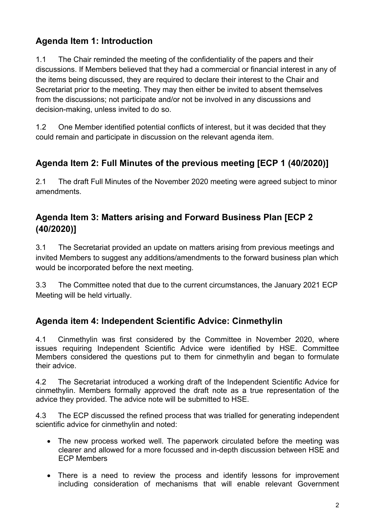### **Agenda Item 1: Introduction**

1.1 The Chair reminded the meeting of the confidentiality of the papers and their discussions. If Members believed that they had a commercial or financial interest in any of the items being discussed, they are required to declare their interest to the Chair and Secretariat prior to the meeting. They may then either be invited to absent themselves from the discussions; not participate and/or not be involved in any discussions and decision-making, unless invited to do so.

1.2 One Member identified potential conflicts of interest, but it was decided that they could remain and participate in discussion on the relevant agenda item.

### **Agenda Item 2: Full Minutes of the previous meeting [ECP 1 (40/2020)]**

2.1 The draft Full Minutes of the November 2020 meeting were agreed subject to minor amendments.

### **Agenda Item 3: Matters arising and Forward Business Plan [ECP 2 (40/2020)]**

3.1 The Secretariat provided an update on matters arising from previous meetings and invited Members to suggest any additions/amendments to the forward business plan which would be incorporated before the next meeting.

3.3 The Committee noted that due to the current circumstances, the January 2021 ECP Meeting will be held virtually.

### **Agenda item 4: Independent Scientific Advice: Cinmethylin**

4.1 Cinmethylin was first considered by the Committee in November 2020, where issues requiring Independent Scientific Advice were identified by HSE. Committee Members considered the questions put to them for cinmethylin and began to formulate their advice.

4.2 The Secretariat introduced a working draft of the Independent Scientific Advice for cinmethylin. Members formally approved the draft note as a true representation of the advice they provided. The advice note will be submitted to HSE.

4.3 The ECP discussed the refined process that was trialled for generating independent scientific advice for cinmethylin and noted:

- The new process worked well. The paperwork circulated before the meeting was clearer and allowed for a more focussed and in-depth discussion between HSE and ECP Members
- There is a need to review the process and identify lessons for improvement including consideration of mechanisms that will enable relevant Government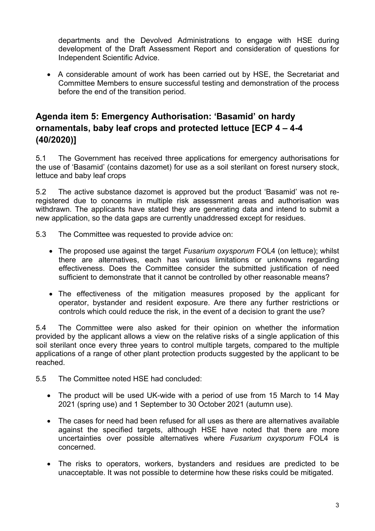departments and the Devolved Administrations to engage with HSE during development of the Draft Assessment Report and consideration of questions for Independent Scientific Advice.

• A considerable amount of work has been carried out by HSE, the Secretariat and Committee Members to ensure successful testing and demonstration of the process before the end of the transition period.

### **Agenda item 5: Emergency Authorisation: 'Basamid' on hardy ornamentals, baby leaf crops and protected lettuce [ECP 4 – 4-4 (40/2020)]**

5.1 The Government has received three applications for emergency authorisations for the use of 'Basamid' (contains dazomet) for use as a soil sterilant on forest nursery stock, lettuce and baby leaf crops

5.2 The active substance dazomet is approved but the product 'Basamid' was not reregistered due to concerns in multiple risk assessment areas and authorisation was withdrawn. The applicants have stated they are generating data and intend to submit a new application, so the data gaps are currently unaddressed except for residues.

- 5.3 The Committee was requested to provide advice on:
	- The proposed use against the target *Fusarium oxysporum* FOL4 (on lettuce); whilst there are alternatives, each has various limitations or unknowns regarding effectiveness. Does the Committee consider the submitted justification of need sufficient to demonstrate that it cannot be controlled by other reasonable means?
	- The effectiveness of the mitigation measures proposed by the applicant for operator, bystander and resident exposure. Are there any further restrictions or controls which could reduce the risk, in the event of a decision to grant the use?

5.4 The Committee were also asked for their opinion on whether the information provided by the applicant allows a view on the relative risks of a single application of this soil sterilant once every three years to control multiple targets, compared to the multiple applications of a range of other plant protection products suggested by the applicant to be reached.

- 5.5 The Committee noted HSE had concluded:
	- The product will be used UK-wide with a period of use from 15 March to 14 May 2021 (spring use) and 1 September to 30 October 2021 (autumn use).
	- The cases for need had been refused for all uses as there are alternatives available against the specified targets, although HSE have noted that there are more uncertainties over possible alternatives where *Fusarium oxysporum* FOL4 is concerned.
	- The risks to operators, workers, bystanders and residues are predicted to be unacceptable. It was not possible to determine how these risks could be mitigated.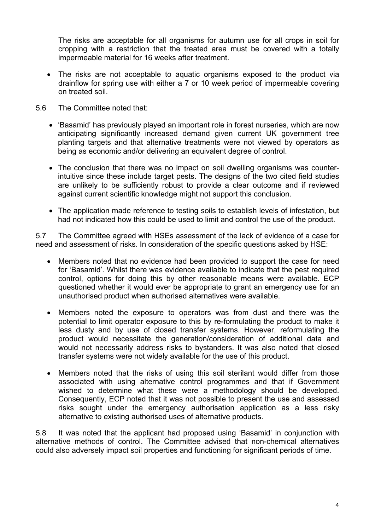The risks are acceptable for all organisms for autumn use for all crops in soil for cropping with a restriction that the treated area must be covered with a totally impermeable material for 16 weeks after treatment.

- The risks are not acceptable to aquatic organisms exposed to the product via drainflow for spring use with either a 7 or 10 week period of impermeable covering on treated soil.
- 5.6 The Committee noted that:
	- 'Basamid' has previously played an important role in forest nurseries, which are now anticipating significantly increased demand given current UK government tree planting targets and that alternative treatments were not viewed by operators as being as economic and/or delivering an equivalent degree of control.
	- The conclusion that there was no impact on soil dwelling organisms was counterintuitive since these include target pests. The designs of the two cited field studies are unlikely to be sufficiently robust to provide a clear outcome and if reviewed against current scientific knowledge might not support this conclusion.
	- The application made reference to testing soils to establish levels of infestation, but had not indicated how this could be used to limit and control the use of the product.

5.7 The Committee agreed with HSEs assessment of the lack of evidence of a case for need and assessment of risks. In consideration of the specific questions asked by HSE:

- Members noted that no evidence had been provided to support the case for need for 'Basamid'. Whilst there was evidence available to indicate that the pest required control, options for doing this by other reasonable means were available. ECP questioned whether it would ever be appropriate to grant an emergency use for an unauthorised product when authorised alternatives were available.
- Members noted the exposure to operators was from dust and there was the potential to limit operator exposure to this by re-formulating the product to make it less dusty and by use of closed transfer systems. However, reformulating the product would necessitate the generation/consideration of additional data and would not necessarily address risks to bystanders. It was also noted that closed transfer systems were not widely available for the use of this product.
- Members noted that the risks of using this soil sterilant would differ from those associated with using alternative control programmes and that if Government wished to determine what these were a methodology should be developed. Consequently, ECP noted that it was not possible to present the use and assessed risks sought under the emergency authorisation application as a less risky alternative to existing authorised uses of alternative products.

5.8 It was noted that the applicant had proposed using 'Basamid' in conjunction with alternative methods of control. The Committee advised that non-chemical alternatives could also adversely impact soil properties and functioning for significant periods of time.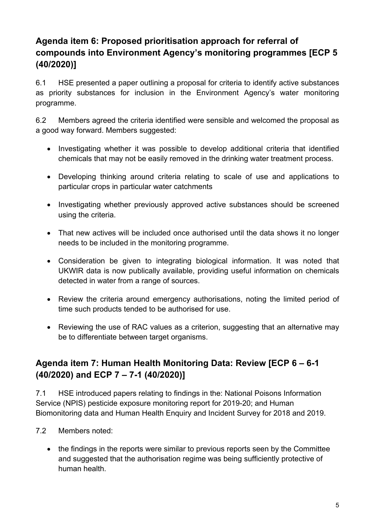### **Agenda item 6: Proposed prioritisation approach for referral of compounds into Environment Agency's monitoring programmes [ECP 5 (40/2020)]**

6.1 HSE presented a paper outlining a proposal for criteria to identify active substances as priority substances for inclusion in the Environment Agency's water monitoring programme.

6.2 Members agreed the criteria identified were sensible and welcomed the proposal as a good way forward. Members suggested:

- Investigating whether it was possible to develop additional criteria that identified chemicals that may not be easily removed in the drinking water treatment process.
- Developing thinking around criteria relating to scale of use and applications to particular crops in particular water catchments
- Investigating whether previously approved active substances should be screened using the criteria.
- That new actives will be included once authorised until the data shows it no longer needs to be included in the monitoring programme.
- Consideration be given to integrating biological information. It was noted that UKWIR data is now publically available, providing useful information on chemicals detected in water from a range of sources.
- Review the criteria around emergency authorisations, noting the limited period of time such products tended to be authorised for use.
- Reviewing the use of RAC values as a criterion, suggesting that an alternative may be to differentiate between target organisms.

### **Agenda item 7: Human Health Monitoring Data: Review [ECP 6 – 6-1 (40/2020) and ECP 7 – 7-1 (40/2020)]**

7.1 HSE introduced papers relating to findings in the: National Poisons Information Service (NPIS) pesticide exposure monitoring report for 2019-20; and Human Biomonitoring data and Human Health Enquiry and Incident Survey for 2018 and 2019.

- 7.2 Members noted:
	- the findings in the reports were similar to previous reports seen by the Committee and suggested that the authorisation regime was being sufficiently protective of human health.